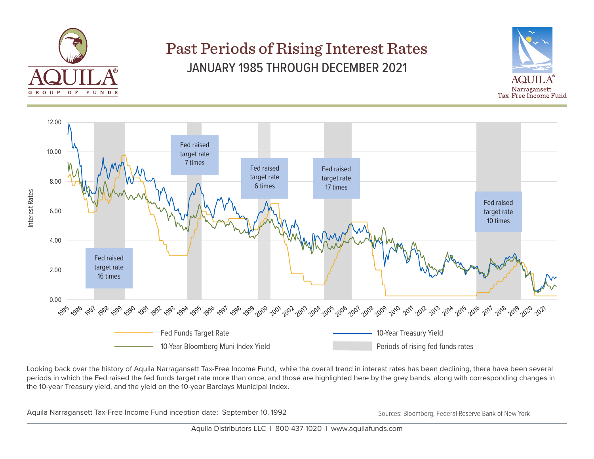

## Past Periods of Rising Interest Rates JANUARY 1985 THROUGH DECEMBER 2021





Looking back over the history of Aquila Narragansett Tax-Free Income Fund, while the overall trend in interest rates has been declining, there have been several periods in which the Fed raised the fed funds target rate more than once, and those are highlighted here by the grey bands, along with corresponding changes in the 10-year Treasury yield, and the yield on the 10-year Barclays Municipal Index.

Aquila Narragansett Tax-Free Income Fund inception date: September 10, 1992 Sources: Bloomberg, Federal Reserve Bank of New York